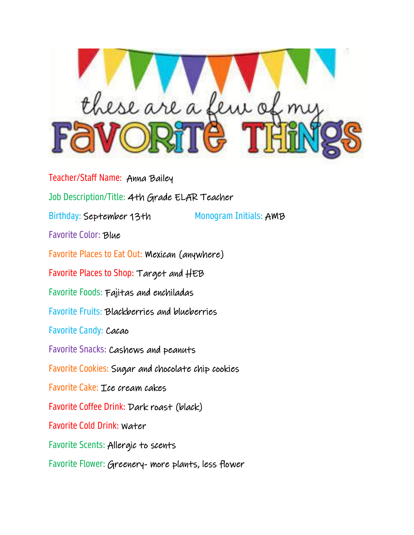

Teacher/Staff Name: Anna Bailey Job Description/Title: 4th Grade ELAR Teacher Birthday: September 13th Monogram Initials: AMB Favorite Color: Blue Favorite Places to Eat Out: Mexican (anywhere) Favorite Places to Shop: Target and HEB Favorite Foods: Fajitas and enchiladas Favorite Fruits: Blackberries and blueberries Favorite Candy: Cacao Favorite Snacks: Cashews and peanuts Favorite Cookies: Sugar and chocolate chip cookies Favorite Cake: Ice cream cakes Favorite Coffee Drink: Dark roast (black) Favorite Cold Drink: Water Favorite Scents: Allergic to scents Favorite Flower: Greenery- more plants, less flower